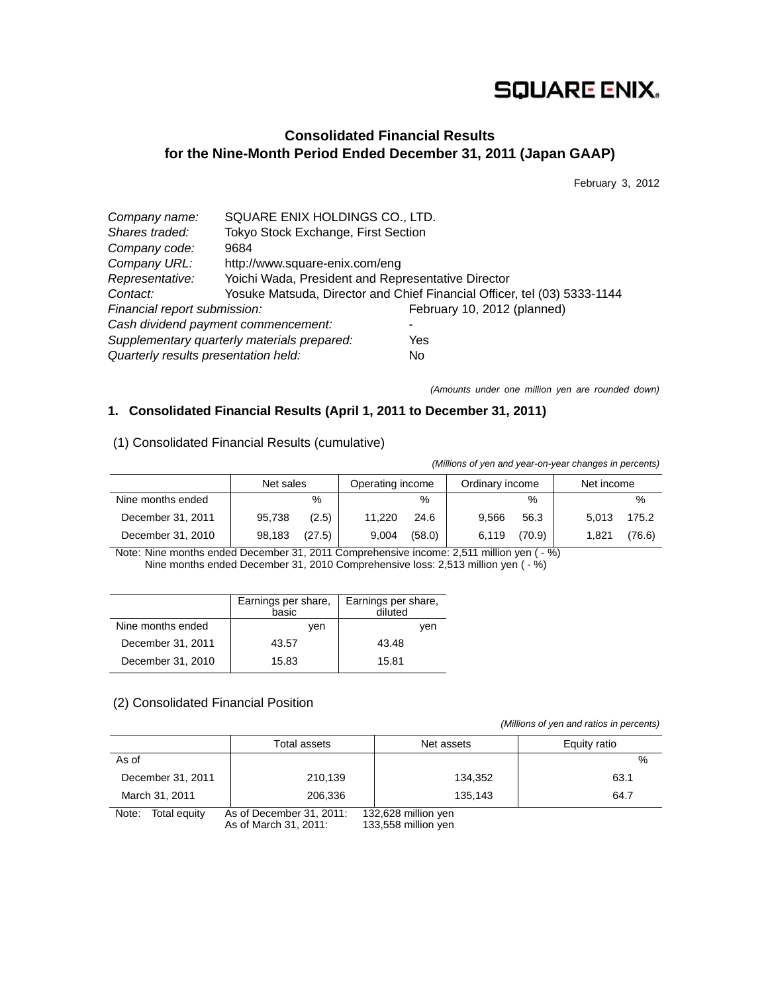# **SQUARE ENIX.**

# **Consolidated Financial Results for the Nine-Month Period Ended December 31, 2011 (Japan GAAP)**

February 3, 2012

| Company name:                        | SQUARE ENIX HOLDINGS CO., LTD.                     |                                                                          |
|--------------------------------------|----------------------------------------------------|--------------------------------------------------------------------------|
| Shares traded:                       | Tokyo Stock Exchange, First Section                |                                                                          |
| Company code:                        | 9684                                               |                                                                          |
| Company URL:                         | http://www.square-enix.com/eng                     |                                                                          |
| Representative:                      | Yoichi Wada, President and Representative Director |                                                                          |
| Contact:                             |                                                    | Yosuke Matsuda, Director and Chief Financial Officer, tel (03) 5333-1144 |
| Financial report submission:         |                                                    | February 10, 2012 (planned)                                              |
|                                      | Cash dividend payment commencement:                |                                                                          |
|                                      | Supplementary quarterly materials prepared:        | Yes                                                                      |
| Quarterly results presentation held: |                                                    | No                                                                       |

*(Amounts under one million yen are rounded down)* 

# **1. Consolidated Financial Results (April 1, 2011 to December 31, 2011)**

| (Millions of yen and year-on-year changes in percents) |           |        |                  |        |                 |        |            |        |
|--------------------------------------------------------|-----------|--------|------------------|--------|-----------------|--------|------------|--------|
|                                                        | Net sales |        | Operating income |        | Ordinary income |        | Net income |        |
| Nine months ended                                      |           | $\%$   |                  | $\%$   |                 | $\%$   |            | $\%$   |
| December 31, 2011                                      | 95,738    | (2.5)  | 11.220           | 24.6   | 9.566           | 56.3   | 5.013      | 175.2  |
| December 31, 2010                                      | 98,183    | (27.5) | 9.004            | (58.0) | 6,119           | (70.9) | 1.821      | (76.6) |

(1) Consolidated Financial Results (cumulative)

Note: Nine months ended December 31, 2011 Comprehensive income: 2,511 million yen ( - %) Nine months ended December 31, 2010 Comprehensive loss: 2,513 million yen ( - %)

|                   | Earnings per share,<br>basic | Earnings per share,<br>diluted |
|-------------------|------------------------------|--------------------------------|
| Nine months ended | ven                          | ven                            |
| December 31, 2011 | 43.57                        | 43.48                          |
| December 31, 2010 | 15.83                        | 15.81                          |

## (2) Consolidated Financial Position

 *(Millions of yen and ratios in percents)*

|                       | Total assets                                      | Net assets                                 | Equity ratio |
|-----------------------|---------------------------------------------------|--------------------------------------------|--------------|
| As of                 |                                                   |                                            | $\%$         |
| December 31, 2011     | 210.139                                           | 134.352                                    | 63.1         |
| March 31, 2011        | 206.336                                           | 135.143                                    | 64.7         |
| Note:<br>Total equity | As of December 31, 2011:<br>As of March 31, 2011: | 132,628 million yen<br>133,558 million yen |              |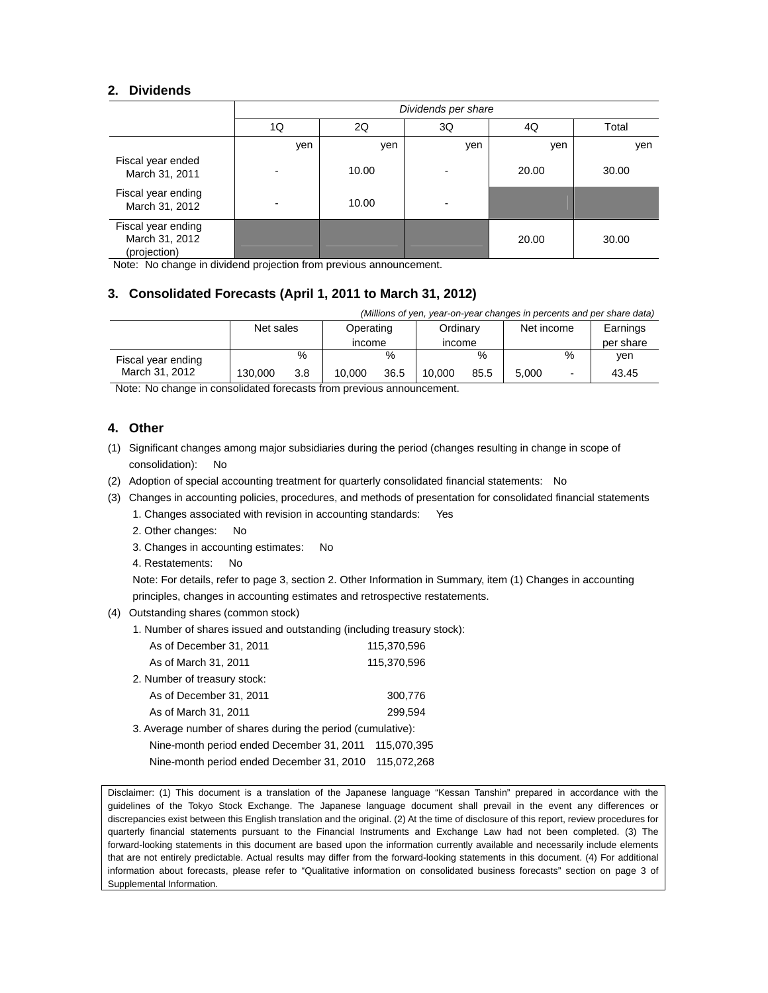### **2. Dividends**

|                                                      | Dividends per share |       |     |       |       |  |
|------------------------------------------------------|---------------------|-------|-----|-------|-------|--|
|                                                      | 1Q                  | 2Q    | 3Q  | 4Q    | Total |  |
|                                                      | yen                 | yen   | yen | yen   | yen   |  |
| Fiscal year ended<br>March 31, 2011                  |                     | 10.00 |     | 20.00 | 30.00 |  |
| Fiscal year ending<br>March 31, 2012                 |                     | 10.00 |     |       |       |  |
| Fiscal year ending<br>March 31, 2012<br>(projection) |                     |       |     | 20.00 | 30.00 |  |

Note: No change in dividend projection from previous announcement.

# **3. Consolidated Forecasts (April 1, 2011 to March 31, 2012)**

| (Millions of yen, year-on-year changes in percents and per share data) |                        |     |               |          |               |            |       |          |           |
|------------------------------------------------------------------------|------------------------|-----|---------------|----------|---------------|------------|-------|----------|-----------|
|                                                                        | Net sales<br>Operating |     |               | Ordinarv |               | Net income |       | Earnings |           |
|                                                                        |                        |     | <i>income</i> |          | <i>income</i> |            |       |          | per share |
| Fiscal year ending                                                     |                        | %   |               | $\%$     |               | %          |       | %        | ven       |
| March 31, 2012                                                         | 130,000                | 3.8 | 10.000        | 36.5     | 10.000        | 85.5       | 5.000 |          | 43.45     |

Note: No change in consolidated forecasts from previous announcement.

## **4. Other**

- (1) Significant changes among major subsidiaries during the period (changes resulting in change in scope of consolidation): No
- (2) Adoption of special accounting treatment for quarterly consolidated financial statements: No
- (3) Changes in accounting policies, procedures, and methods of presentation for consolidated financial statements
	- 1. Changes associated with revision in accounting standards: Yes
	- 2. Other changes: No
	- 3. Changes in accounting estimates: No
	- 4. Restatements: No

Note: For details, refer to page 3, section 2. Other Information in Summary, item (1) Changes in accounting principles, changes in accounting estimates and retrospective restatements.

- (4) Outstanding shares (common stock)
	- 1. Number of shares issued and outstanding (including treasury stock):

| As of December 31, 2011                                     | 115.370.596 |
|-------------------------------------------------------------|-------------|
| As of March 31, 2011                                        | 115,370,596 |
| 2. Number of treasury stock:                                |             |
| As of December 31, 2011                                     | 300,776     |
| As of March 31, 2011                                        | 299.594     |
| 3. Average number of shares during the period (cumulative): |             |
| Nine manth period anded December 21, 2011                   | 115 070 205 |

| Nine-month period ended December 31, 2011 | 115.U7U.395 |
|-------------------------------------------|-------------|
| Nine-month period ended December 31, 2010 | 115.072.268 |

Disclaimer: (1) This document is a translation of the Japanese language "Kessan Tanshin" prepared in accordance with the guidelines of the Tokyo Stock Exchange. The Japanese language document shall prevail in the event any differences or discrepancies exist between this English translation and the original. (2) At the time of disclosure of this report, review procedures for quarterly financial statements pursuant to the Financial Instruments and Exchange Law had not been completed. (3) The forward-looking statements in this document are based upon the information currently available and necessarily include elements that are not entirely predictable. Actual results may differ from the forward-looking statements in this document. (4) For additional information about forecasts, please refer to "Qualitative information on consolidated business forecasts" section on page 3 of Supplemental Information.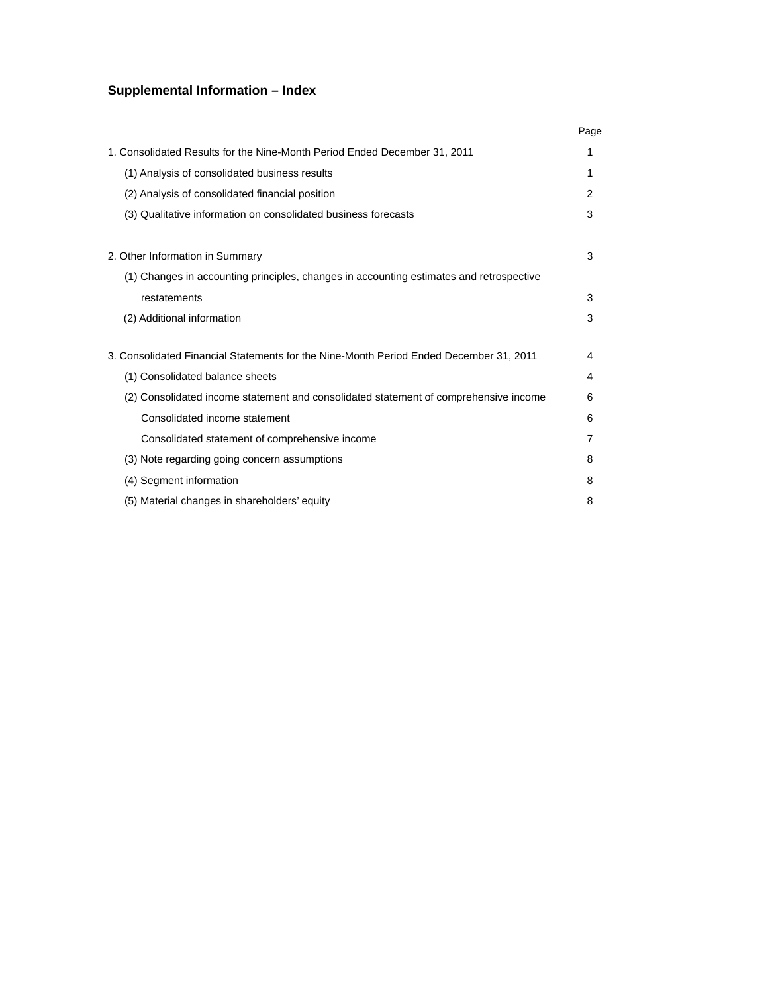# **Supplemental Information – Index**

|                                                                                         | Page |
|-----------------------------------------------------------------------------------------|------|
| 1. Consolidated Results for the Nine-Month Period Ended December 31, 2011               | 1    |
| (1) Analysis of consolidated business results                                           | 1    |
| (2) Analysis of consolidated financial position                                         | 2    |
| (3) Qualitative information on consolidated business forecasts                          | 3    |
| 2. Other Information in Summary                                                         | 3    |
| (1) Changes in accounting principles, changes in accounting estimates and retrospective |      |
| restatements                                                                            | 3    |
| (2) Additional information                                                              | 3    |
| 3. Consolidated Financial Statements for the Nine-Month Period Ended December 31. 2011  | 4    |
| (1) Consolidated balance sheets                                                         | 4    |
| (2) Consolidated income statement and consolidated statement of comprehensive income    | 6    |
| Consolidated income statement                                                           | 6    |
| Consolidated statement of comprehensive income                                          | 7    |
| (3) Note regarding going concern assumptions                                            | 8    |
| (4) Segment information                                                                 | 8    |
| (5) Material changes in shareholders' equity                                            | 8    |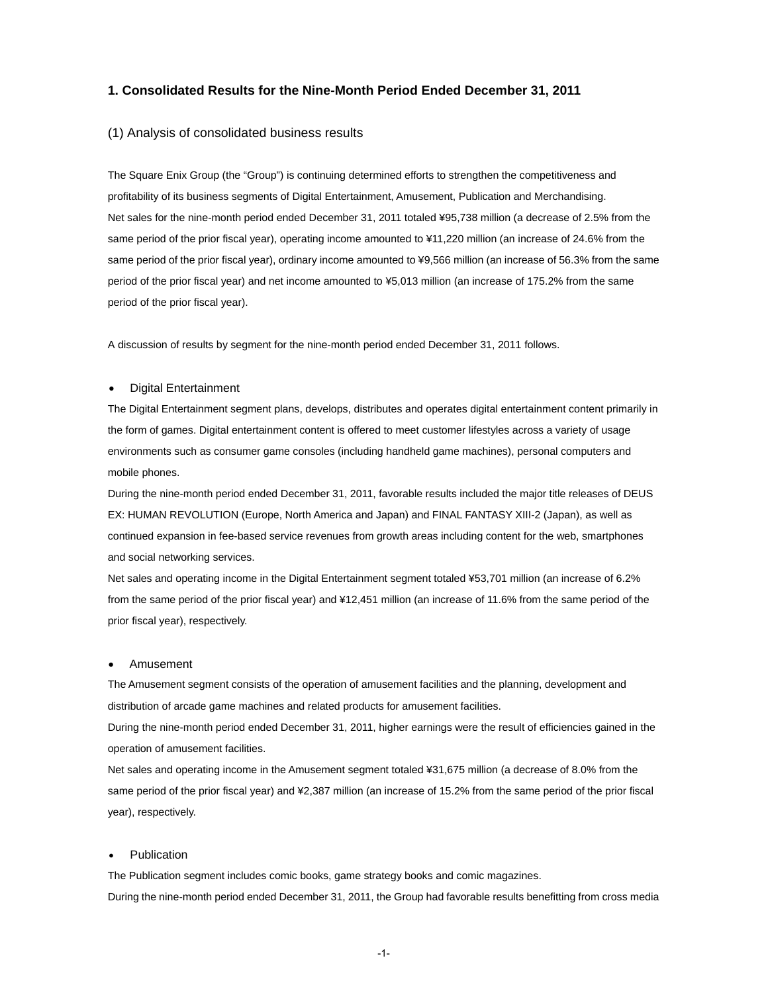### **1. Consolidated Results for the Nine-Month Period Ended December 31, 2011**

#### (1) Analysis of consolidated business results

The Square Enix Group (the "Group") is continuing determined efforts to strengthen the competitiveness and profitability of its business segments of Digital Entertainment, Amusement, Publication and Merchandising. Net sales for the nine-month period ended December 31, 2011 totaled ¥95,738 million (a decrease of 2.5% from the same period of the prior fiscal year), operating income amounted to ¥11,220 million (an increase of 24.6% from the same period of the prior fiscal year), ordinary income amounted to ¥9,566 million (an increase of 56.3% from the same period of the prior fiscal year) and net income amounted to ¥5,013 million (an increase of 175.2% from the same period of the prior fiscal year).

A discussion of results by segment for the nine-month period ended December 31, 2011 follows.

#### Digital Entertainment

The Digital Entertainment segment plans, develops, distributes and operates digital entertainment content primarily in the form of games. Digital entertainment content is offered to meet customer lifestyles across a variety of usage environments such as consumer game consoles (including handheld game machines), personal computers and mobile phones.

During the nine-month period ended December 31, 2011, favorable results included the major title releases of DEUS EX: HUMAN REVOLUTION (Europe, North America and Japan) and FINAL FANTASY XIII-2 (Japan), as well as continued expansion in fee-based service revenues from growth areas including content for the web, smartphones and social networking services.

Net sales and operating income in the Digital Entertainment segment totaled ¥53,701 million (an increase of 6.2% from the same period of the prior fiscal year) and ¥12,451 million (an increase of 11.6% from the same period of the prior fiscal year), respectively.

#### Amusement

The Amusement segment consists of the operation of amusement facilities and the planning, development and distribution of arcade game machines and related products for amusement facilities.

During the nine-month period ended December 31, 2011, higher earnings were the result of efficiencies gained in the operation of amusement facilities.

Net sales and operating income in the Amusement segment totaled ¥31,675 million (a decrease of 8.0% from the same period of the prior fiscal year) and ¥2,387 million (an increase of 15.2% from the same period of the prior fiscal year), respectively.

#### Publication

The Publication segment includes comic books, game strategy books and comic magazines. During the nine-month period ended December 31, 2011, the Group had favorable results benefitting from cross media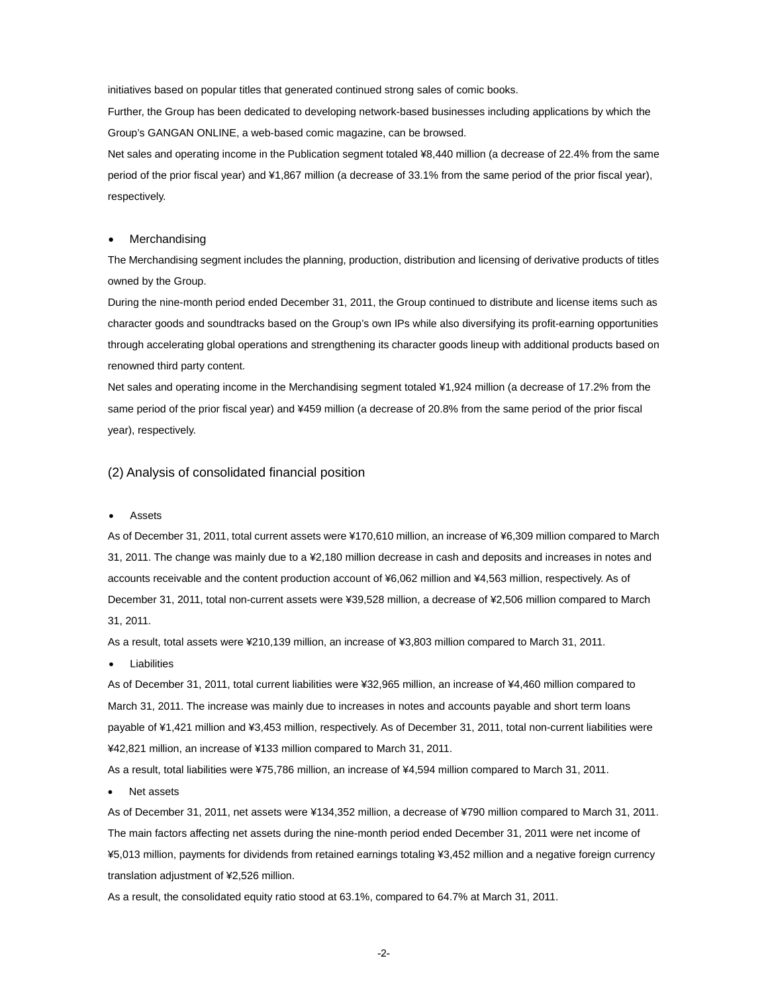initiatives based on popular titles that generated continued strong sales of comic books.

Further, the Group has been dedicated to developing network-based businesses including applications by which the Group's GANGAN ONLINE, a web-based comic magazine, can be browsed.

Net sales and operating income in the Publication segment totaled ¥8,440 million (a decrease of 22.4% from the same period of the prior fiscal year) and ¥1,867 million (a decrease of 33.1% from the same period of the prior fiscal year), respectively.

#### Merchandising

The Merchandising segment includes the planning, production, distribution and licensing of derivative products of titles owned by the Group.

During the nine-month period ended December 31, 2011, the Group continued to distribute and license items such as character goods and soundtracks based on the Group's own IPs while also diversifying its profit-earning opportunities through accelerating global operations and strengthening its character goods lineup with additional products based on renowned third party content.

Net sales and operating income in the Merchandising segment totaled ¥1,924 million (a decrease of 17.2% from the same period of the prior fiscal year) and ¥459 million (a decrease of 20.8% from the same period of the prior fiscal year), respectively.

#### (2) Analysis of consolidated financial position

#### Assets

As of December 31, 2011, total current assets were ¥170,610 million, an increase of ¥6,309 million compared to March 31, 2011. The change was mainly due to a ¥2,180 million decrease in cash and deposits and increases in notes and accounts receivable and the content production account of ¥6,062 million and ¥4,563 million, respectively. As of December 31, 2011, total non-current assets were ¥39,528 million, a decrease of ¥2,506 million compared to March 31, 2011.

As a result, total assets were ¥210,139 million, an increase of ¥3,803 million compared to March 31, 2011.

Liabilities

As of December 31, 2011, total current liabilities were ¥32,965 million, an increase of ¥4,460 million compared to March 31, 2011. The increase was mainly due to increases in notes and accounts payable and short term loans payable of ¥1,421 million and ¥3,453 million, respectively. As of December 31, 2011, total non-current liabilities were ¥42,821 million, an increase of ¥133 million compared to March 31, 2011.

As a result, total liabilities were ¥75,786 million, an increase of ¥4,594 million compared to March 31, 2011.

Net assets

As of December 31, 2011, net assets were ¥134,352 million, a decrease of ¥790 million compared to March 31, 2011. The main factors affecting net assets during the nine-month period ended December 31, 2011 were net income of ¥5,013 million, payments for dividends from retained earnings totaling ¥3,452 million and a negative foreign currency translation adjustment of ¥2,526 million.

As a result, the consolidated equity ratio stood at 63.1%, compared to 64.7% at March 31, 2011.

-2-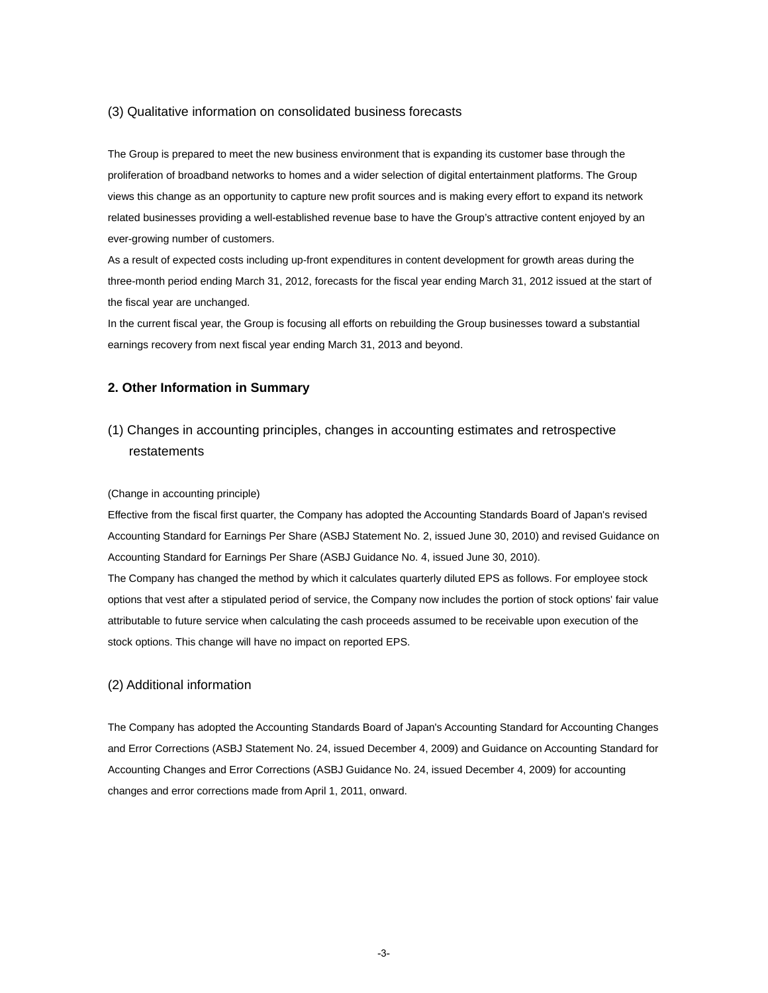#### (3) Qualitative information on consolidated business forecasts

The Group is prepared to meet the new business environment that is expanding its customer base through the proliferation of broadband networks to homes and a wider selection of digital entertainment platforms. The Group views this change as an opportunity to capture new profit sources and is making every effort to expand its network related businesses providing a well-established revenue base to have the Group's attractive content enjoyed by an ever-growing number of customers.

As a result of expected costs including up-front expenditures in content development for growth areas during the three-month period ending March 31, 2012, forecasts for the fiscal year ending March 31, 2012 issued at the start of the fiscal year are unchanged.

In the current fiscal year, the Group is focusing all efforts on rebuilding the Group businesses toward a substantial earnings recovery from next fiscal year ending March 31, 2013 and beyond.

### **2. Other Information in Summary**

# (1) Changes in accounting principles, changes in accounting estimates and retrospective restatements

#### (Change in accounting principle)

Effective from the fiscal first quarter, the Company has adopted the Accounting Standards Board of Japan's revised Accounting Standard for Earnings Per Share (ASBJ Statement No. 2, issued June 30, 2010) and revised Guidance on Accounting Standard for Earnings Per Share (ASBJ Guidance No. 4, issued June 30, 2010). The Company has changed the method by which it calculates quarterly diluted EPS as follows. For employee stock

options that vest after a stipulated period of service, the Company now includes the portion of stock options' fair value attributable to future service when calculating the cash proceeds assumed to be receivable upon execution of the stock options. This change will have no impact on reported EPS.

#### (2) Additional information

The Company has adopted the Accounting Standards Board of Japan's Accounting Standard for Accounting Changes and Error Corrections (ASBJ Statement No. 24, issued December 4, 2009) and Guidance on Accounting Standard for Accounting Changes and Error Corrections (ASBJ Guidance No. 24, issued December 4, 2009) for accounting changes and error corrections made from April 1, 2011, onward.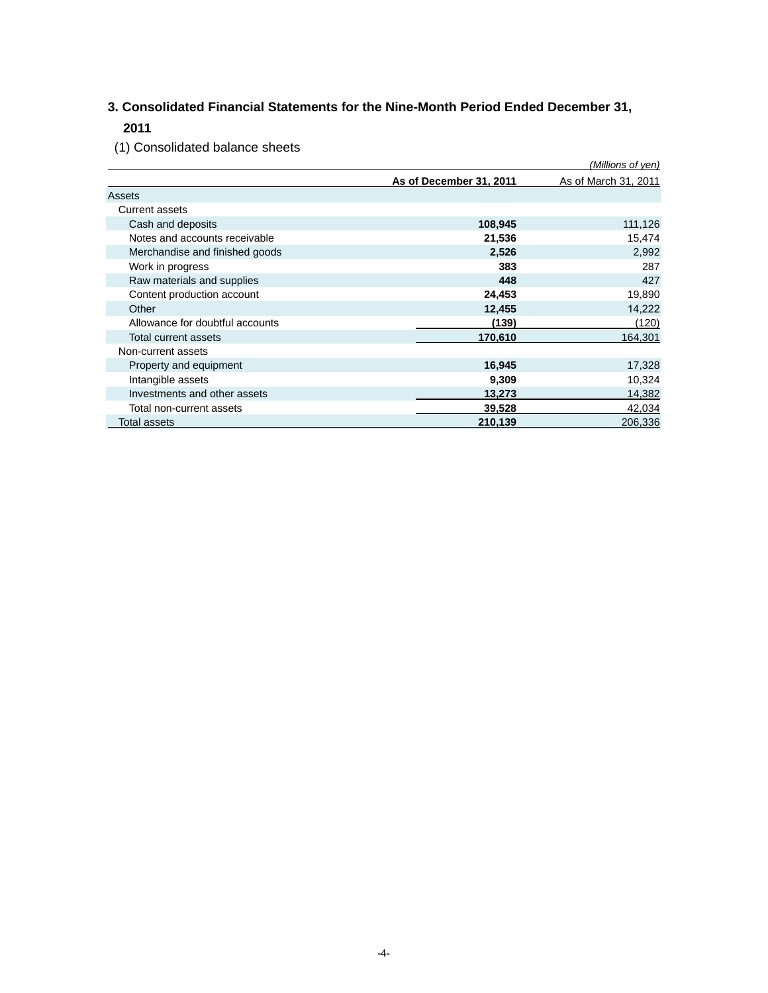# **3. Consolidated Financial Statements for the Nine-Month Period Ended December 31, 2011**

(1) Consolidated balance sheets

| $\sqrt{ }$                      |                         | (Millions of yen)    |
|---------------------------------|-------------------------|----------------------|
|                                 | As of December 31, 2011 | As of March 31, 2011 |
| Assets                          |                         |                      |
| <b>Current assets</b>           |                         |                      |
| Cash and deposits               | 108,945                 | 111,126              |
| Notes and accounts receivable   | 21,536                  | 15,474               |
| Merchandise and finished goods  | 2,526                   | 2,992                |
| Work in progress                | 383                     | 287                  |
| Raw materials and supplies      | 448                     | 427                  |
| Content production account      | 24,453                  | 19,890               |
| Other                           | 12,455                  | 14,222               |
| Allowance for doubtful accounts | (139)                   | (120)                |
| <b>Total current assets</b>     | 170,610                 | 164,301              |
| Non-current assets              |                         |                      |
| Property and equipment          | 16,945                  | 17,328               |
| Intangible assets               | 9,309                   | 10,324               |
| Investments and other assets    | 13,273                  | 14,382               |
| Total non-current assets        | 39,528                  | 42,034               |
| Total assets                    | 210,139                 | 206,336              |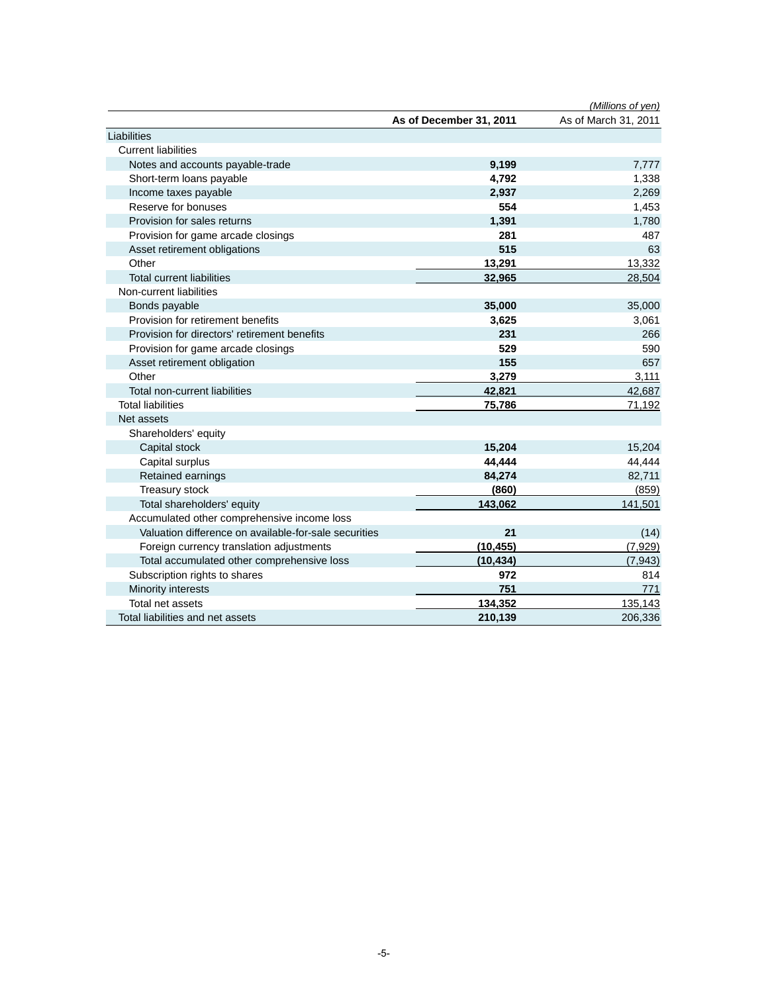|                                                       |                         | (Millions of yen)    |
|-------------------------------------------------------|-------------------------|----------------------|
|                                                       | As of December 31, 2011 | As of March 31, 2011 |
| Liabilities                                           |                         |                      |
| <b>Current liabilities</b>                            |                         |                      |
| Notes and accounts payable-trade                      | 9,199                   | 7,777                |
| Short-term loans payable                              | 4,792                   | 1,338                |
| Income taxes payable                                  | 2,937                   | 2,269                |
| Reserve for bonuses                                   | 554                     | 1,453                |
| Provision for sales returns                           | 1,391                   | 1,780                |
| Provision for game arcade closings                    | 281                     | 487                  |
| Asset retirement obligations                          | 515                     | 63                   |
| Other                                                 | 13,291                  | 13,332               |
| <b>Total current liabilities</b>                      | 32,965                  | 28,504               |
| Non-current liabilities                               |                         |                      |
| Bonds payable                                         | 35,000                  | 35,000               |
| Provision for retirement benefits                     | 3,625                   | 3,061                |
| Provision for directors' retirement benefits          | 231                     | 266                  |
| Provision for game arcade closings                    | 529                     | 590                  |
| Asset retirement obligation                           | 155                     | 657                  |
| Other                                                 | 3,279                   | 3,111                |
| Total non-current liabilities                         | 42,821                  | 42,687               |
| <b>Total liabilities</b>                              | 75,786                  | 71,192               |
| Net assets                                            |                         |                      |
| Shareholders' equity                                  |                         |                      |
| Capital stock                                         | 15,204                  | 15,204               |
| Capital surplus                                       | 44,444                  | 44,444               |
| Retained earnings                                     | 84,274                  | 82,711               |
| Treasury stock                                        | (860)                   | (859)                |
| Total shareholders' equity                            | 143,062                 | 141,501              |
| Accumulated other comprehensive income loss           |                         |                      |
| Valuation difference on available-for-sale securities | 21                      | (14)                 |
| Foreign currency translation adjustments              | (10, 455)               | (7,929)              |
| Total accumulated other comprehensive loss            | (10, 434)               | (7, 943)             |
| Subscription rights to shares                         | 972                     | 814                  |
| Minority interests                                    | 751                     | 771                  |
| Total net assets                                      | 134,352                 | 135,143              |
| Total liabilities and net assets                      | 210,139                 | 206,336              |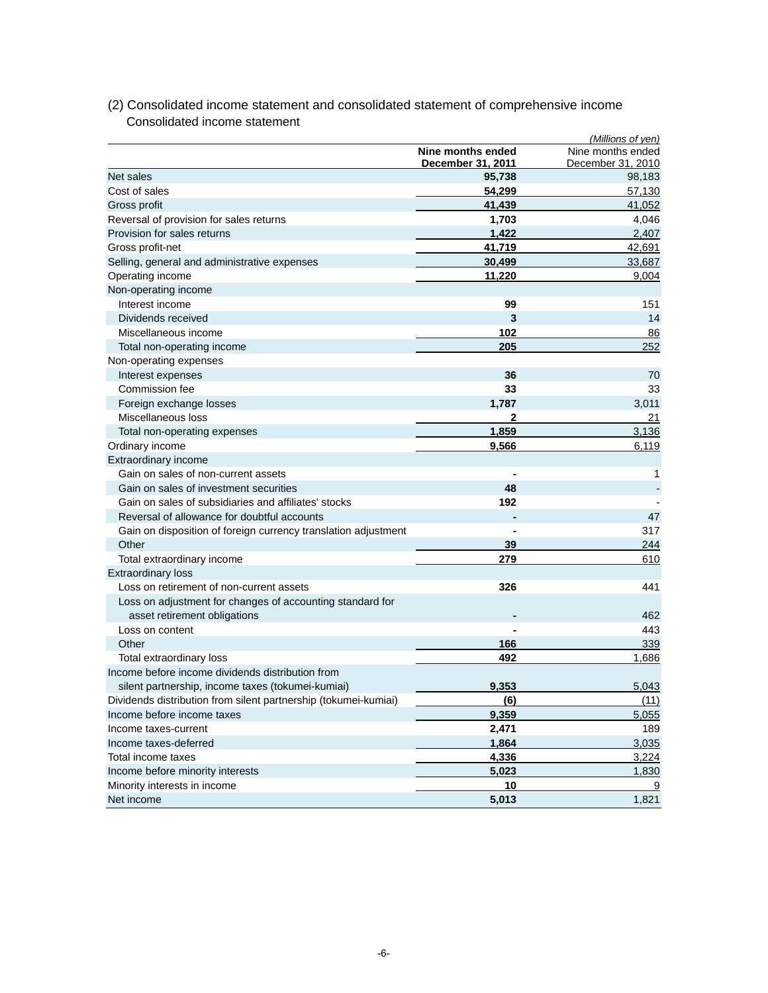|                                                                 |                                        | (Millions of yen)                      |
|-----------------------------------------------------------------|----------------------------------------|----------------------------------------|
|                                                                 | Nine months ended<br>December 31, 2011 | Nine months ended<br>December 31, 2010 |
| Net sales                                                       | 95,738                                 | 98,183                                 |
| Cost of sales                                                   | 54,299                                 | 57,130                                 |
| Gross profit                                                    | 41,439                                 | 41,052                                 |
| Reversal of provision for sales returns                         | 1,703                                  | 4,046                                  |
| Provision for sales returns                                     | 1,422                                  | 2,407                                  |
| Gross profit-net                                                | 41,719                                 | 42,691                                 |
| Selling, general and administrative expenses                    | 30,499                                 | 33,687                                 |
| Operating income                                                | 11,220                                 | 9,004                                  |
| Non-operating income                                            |                                        |                                        |
| Interest income                                                 | 99                                     | 151                                    |
| Dividends received                                              | 3                                      | 14                                     |
| Miscellaneous income                                            | 102                                    | 86                                     |
| Total non-operating income                                      | 205                                    | 252                                    |
| Non-operating expenses                                          |                                        |                                        |
| Interest expenses                                               | 36                                     | 70                                     |
| Commission fee                                                  | 33                                     | 33                                     |
| Foreign exchange losses                                         | 1,787                                  | 3,011                                  |
| Miscellaneous loss                                              | 2                                      | 21                                     |
| Total non-operating expenses                                    | 1,859                                  | 3,136                                  |
| Ordinary income                                                 | 9,566                                  | 6,119                                  |
| Extraordinary income                                            |                                        |                                        |
| Gain on sales of non-current assets                             |                                        | 1                                      |
| Gain on sales of investment securities                          | 48                                     |                                        |
| Gain on sales of subsidiaries and affiliates' stocks            | 192                                    |                                        |
| Reversal of allowance for doubtful accounts                     | $\blacksquare$                         | 47                                     |
| Gain on disposition of foreign currency translation adjustment  |                                        | 317                                    |
| Other                                                           | 39                                     | 244                                    |
| Total extraordinary income                                      | 279                                    | 610                                    |
| <b>Extraordinary loss</b>                                       |                                        |                                        |
| Loss on retirement of non-current assets                        | 326                                    | 441                                    |
| Loss on adjustment for changes of accounting standard for       |                                        |                                        |
| asset retirement obligations                                    |                                        | 462                                    |
| Loss on content                                                 |                                        | 443                                    |
| Other                                                           | 166                                    | 339                                    |
| Total extraordinary loss                                        | 492                                    | 1,686                                  |
| Income before income dividends distribution from                |                                        |                                        |
| silent partnership, income taxes (tokumei-kumiai)               | 9,353                                  | 5,043                                  |
| Dividends distribution from silent partnership (tokumei-kumiai) | <u>(6)</u>                             | (11)                                   |
| Income before income taxes                                      | 9,359                                  | 5,055                                  |
| Income taxes-current                                            | 2,471                                  | 189                                    |
| Income taxes-deferred                                           | 1,864                                  | 3,035                                  |
| Total income taxes                                              | 4,336                                  | 3,224                                  |
| Income before minority interests                                |                                        |                                        |
|                                                                 | 5,023<br>10                            | 1,830                                  |
| Minority interests in income                                    |                                        |                                        |
| Net income                                                      | 5,013                                  | 1,821                                  |

# (2) Consolidated income statement and consolidated statement of comprehensive income Consolidated income statement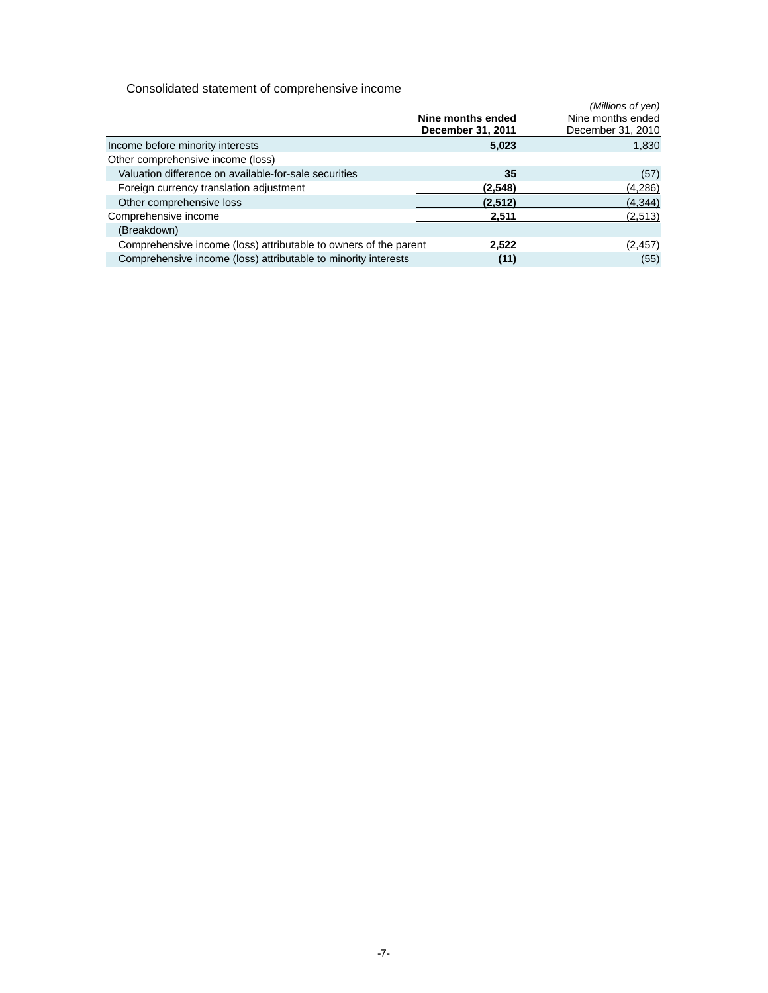Consolidated statement of comprehensive income

|                                                                  |                                        | (Millions of yen)                      |
|------------------------------------------------------------------|----------------------------------------|----------------------------------------|
|                                                                  | Nine months ended<br>December 31, 2011 | Nine months ended<br>December 31, 2010 |
| Income before minority interests                                 | 5,023                                  | 1,830                                  |
| Other comprehensive income (loss)                                |                                        |                                        |
| Valuation difference on available-for-sale securities            | 35                                     | (57)                                   |
| Foreign currency translation adjustment                          | (2.548)                                | (4,286)                                |
| Other comprehensive loss                                         | (2.512)                                | (4, 344)                               |
| Comprehensive income                                             | 2.511                                  | (2,513)                                |
| (Breakdown)                                                      |                                        |                                        |
| Comprehensive income (loss) attributable to owners of the parent | 2,522                                  | (2, 457)                               |
| Comprehensive income (loss) attributable to minority interests   | (11)                                   | (55)                                   |